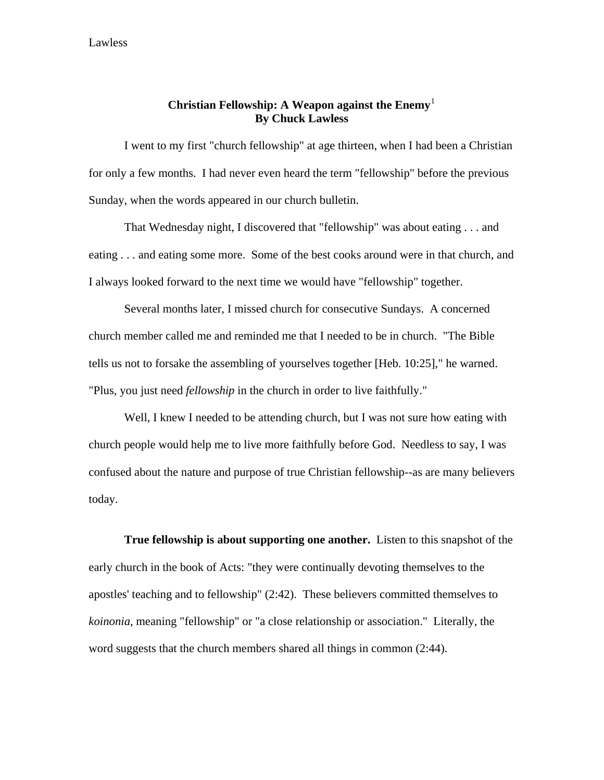## **Christian Fellowship: A Weapon against the Enemy**[1](#page-4-0) **By Chuck Lawless**

 I went to my first "church fellowship" at age thirteen, when I had been a Christian for only a few months. I had never even heard the term "fellowship" before the previous Sunday, when the words appeared in our church bulletin.

 That Wednesday night, I discovered that "fellowship" was about eating . . . and eating . . . and eating some more. Some of the best cooks around were in that church, and I always looked forward to the next time we would have "fellowship" together.

 Several months later, I missed church for consecutive Sundays. A concerned church member called me and reminded me that I needed to be in church. "The Bible tells us not to forsake the assembling of yourselves together [Heb. 10:25]," he warned. "Plus, you just need *fellowship* in the church in order to live faithfully."

Well, I knew I needed to be attending church, but I was not sure how eating with church people would help me to live more faithfully before God. Needless to say, I was confused about the nature and purpose of true Christian fellowship--as are many believers today.

**True fellowship is about supporting one another.** Listen to this snapshot of the early church in the book of Acts: "they were continually devoting themselves to the apostles' teaching and to fellowship" (2:42). These believers committed themselves to *koinonia*, meaning "fellowship" or "a close relationship or association." Literally, the word suggests that the church members shared all things in common (2:44).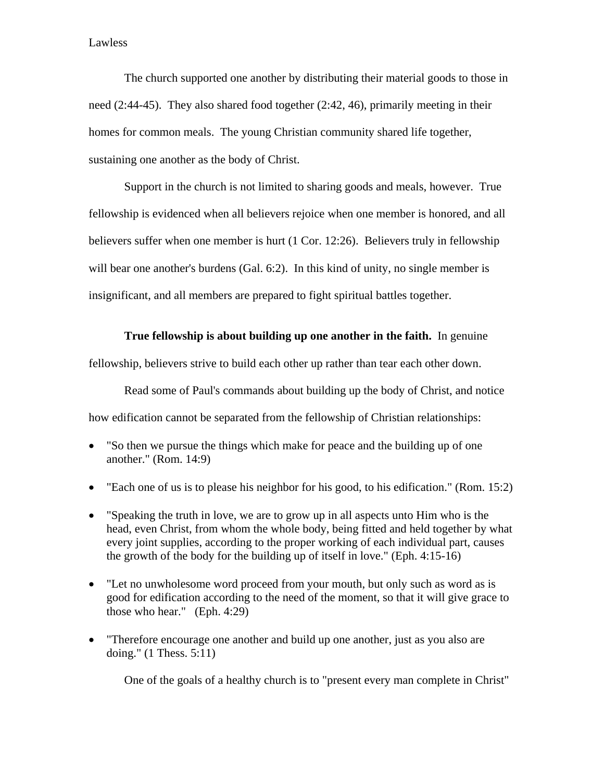The church supported one another by distributing their material goods to those in need (2:44-45). They also shared food together (2:42, 46), primarily meeting in their homes for common meals. The young Christian community shared life together, sustaining one another as the body of Christ.

Support in the church is not limited to sharing goods and meals, however. True fellowship is evidenced when all believers rejoice when one member is honored, and all believers suffer when one member is hurt (1 Cor. 12:26). Believers truly in fellowship will bear one another's burdens (Gal. 6:2). In this kind of unity, no single member is insignificant, and all members are prepared to fight spiritual battles together.

## **True fellowship is about building up one another in the faith.** In genuine

fellowship, believers strive to build each other up rather than tear each other down.

 Read some of Paul's commands about building up the body of Christ, and notice how edification cannot be separated from the fellowship of Christian relationships:

- "So then we pursue the things which make for peace and the building up of one another." (Rom. 14:9)
- "Each one of us is to please his neighbor for his good, to his edification." (Rom. 15:2)
- "Speaking the truth in love, we are to grow up in all aspects unto Him who is the head, even Christ, from whom the whole body, being fitted and held together by what every joint supplies, according to the proper working of each individual part, causes the growth of the body for the building up of itself in love." (Eph. 4:15-16)
- "Let no unwholesome word proceed from your mouth, but only such as word as is good for edification according to the need of the moment, so that it will give grace to those who hear." (Eph. 4:29)
- "Therefore encourage one another and build up one another, just as you also are doing." (1 Thess. 5:11)

One of the goals of a healthy church is to "present every man complete in Christ"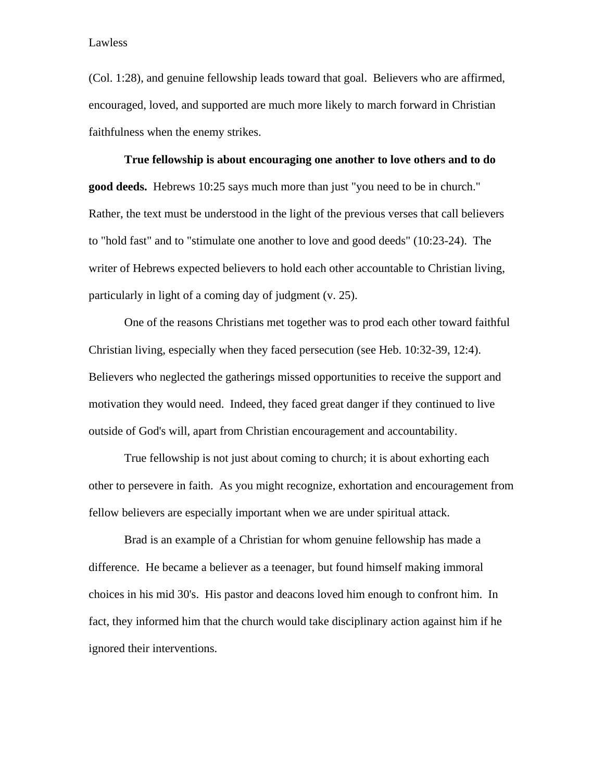(Col. 1:28), and genuine fellowship leads toward that goal. Believers who are affirmed, encouraged, loved, and supported are much more likely to march forward in Christian faithfulness when the enemy strikes.

**True fellowship is about encouraging one another to love others and to do good deeds.** Hebrews 10:25 says much more than just "you need to be in church." Rather, the text must be understood in the light of the previous verses that call believers to "hold fast" and to "stimulate one another to love and good deeds" (10:23-24). The writer of Hebrews expected believers to hold each other accountable to Christian living, particularly in light of a coming day of judgment (v. 25).

One of the reasons Christians met together was to prod each other toward faithful Christian living, especially when they faced persecution (see Heb. 10:32-39, 12:4). Believers who neglected the gatherings missed opportunities to receive the support and motivation they would need. Indeed, they faced great danger if they continued to live outside of God's will, apart from Christian encouragement and accountability.

True fellowship is not just about coming to church; it is about exhorting each other to persevere in faith. As you might recognize, exhortation and encouragement from fellow believers are especially important when we are under spiritual attack.

Brad is an example of a Christian for whom genuine fellowship has made a difference. He became a believer as a teenager, but found himself making immoral choices in his mid 30's. His pastor and deacons loved him enough to confront him. In fact, they informed him that the church would take disciplinary action against him if he ignored their interventions.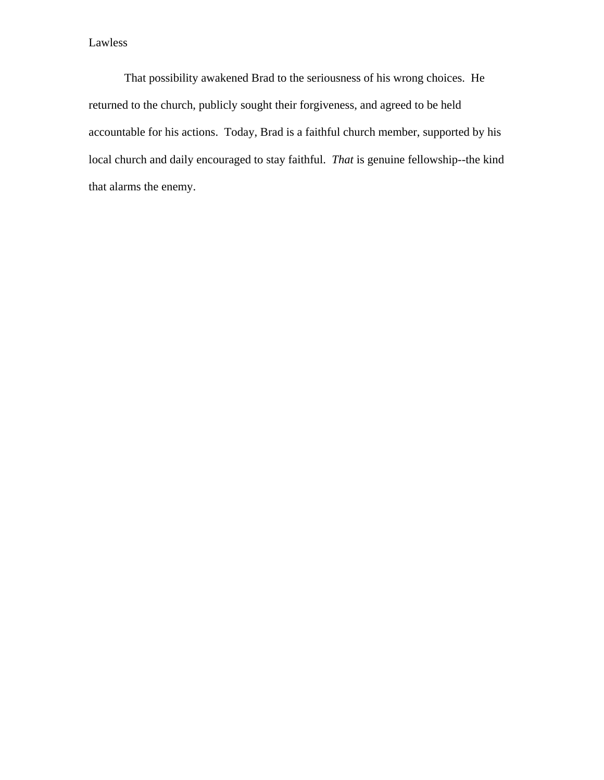That possibility awakened Brad to the seriousness of his wrong choices. He returned to the church, publicly sought their forgiveness, and agreed to be held accountable for his actions. Today, Brad is a faithful church member, supported by his local church and daily encouraged to stay faithful. *That* is genuine fellowship--the kind that alarms the enemy.